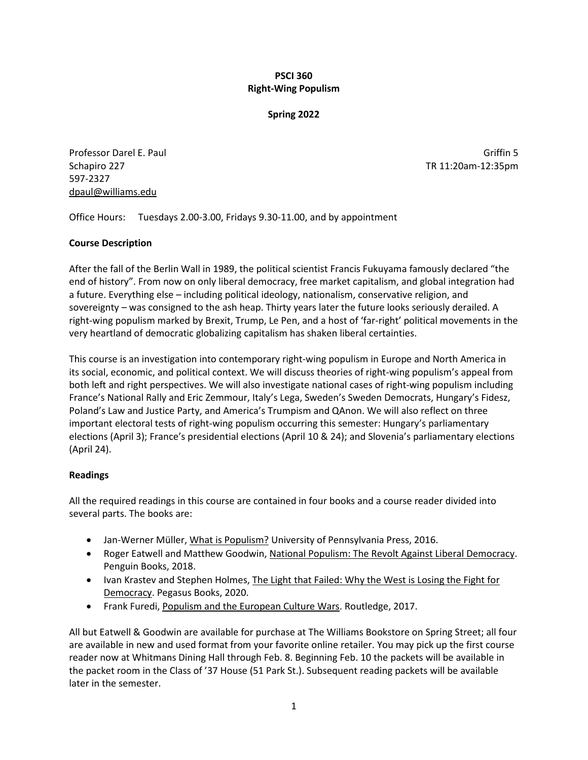## **PSCI 360 Right-Wing Populism**

### **Spring 2022**

Professor Darel E. Paul Griffin 5 Schapiro 227 TR 11:20am-12:35pm 597-2327 dpaul@williams.edu

Office Hours: Tuesdays 2.00-3.00, Fridays 9.30-11.00, and by appointment

## **Course Description**

After the fall of the Berlin Wall in 1989, the political scientist Francis Fukuyama famously declared "the end of history". From now on only liberal democracy, free market capitalism, and global integration had a future. Everything else – including political ideology, nationalism, conservative religion, and sovereignty – was consigned to the ash heap. Thirty years later the future looks seriously derailed. A right-wing populism marked by Brexit, Trump, Le Pen, and a host of 'far-right' political movements in the very heartland of democratic globalizing capitalism has shaken liberal certainties.

This course is an investigation into contemporary right-wing populism in Europe and North America in its social, economic, and political context. We will discuss theories of right-wing populism's appeal from both left and right perspectives. We will also investigate national cases of right-wing populism including France's National Rally and Eric Zemmour, Italy's Lega, Sweden's Sweden Democrats, Hungary's Fidesz, Poland's Law and Justice Party, and America's Trumpism and QAnon. We will also reflect on three important electoral tests of right-wing populism occurring this semester: Hungary's parliamentary elections (April 3); France's presidential elections (April 10 & 24); and Slovenia's parliamentary elections (April 24).

## **Readings**

All the required readings in this course are contained in four books and a course reader divided into several parts. The books are:

- Jan-Werner Müller, What is Populism? University of Pennsylvania Press, 2016.
- Roger Eatwell and Matthew Goodwin, National Populism: The Revolt Against Liberal Democracy. Penguin Books, 2018.
- Ivan Krastev and Stephen Holmes, The Light that Failed: Why the West is Losing the Fight for Democracy. Pegasus Books, 2020.
- Frank Furedi, Populism and the European Culture Wars. Routledge, 2017.

All but Eatwell & Goodwin are available for purchase at The Williams Bookstore on Spring Street; all four are available in new and used format from your favorite online retailer. You may pick up the first course reader now at Whitmans Dining Hall through Feb. 8. Beginning Feb. 10 the packets will be available in the packet room in the Class of '37 House (51 Park St.). Subsequent reading packets will be available later in the semester.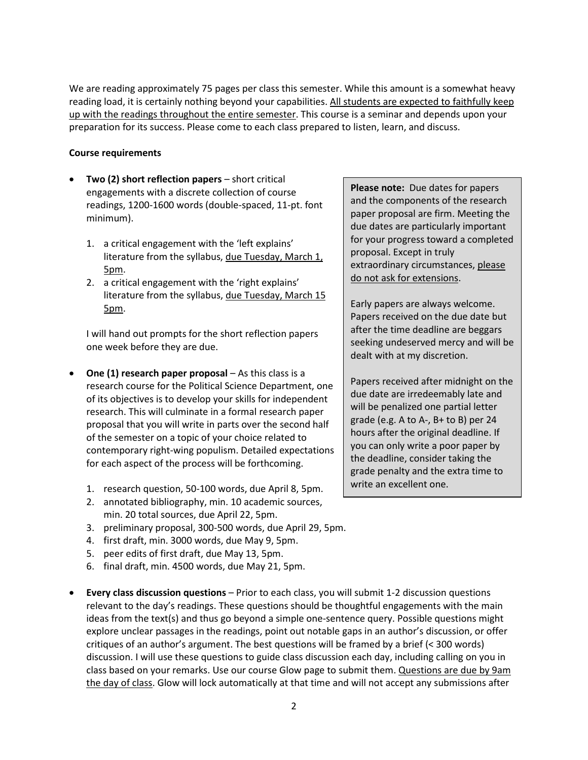We are reading approximately 75 pages per class this semester. While this amount is a somewhat heavy reading load, it is certainly nothing beyond your capabilities. All students are expected to faithfully keep up with the readings throughout the entire semester. This course is a seminar and depends upon your preparation for its success. Please come to each class prepared to listen, learn, and discuss.

### **Course requirements**

- **Two (2) short reflection papers** short critical engagements with a discrete collection of course readings, 1200-1600 words (double-spaced, 11-pt. font minimum).
	- 1. a critical engagement with the 'left explains' literature from the syllabus, due Tuesday, March 1, 5pm.
	- 2. a critical engagement with the 'right explains' literature from the syllabus, due Tuesday, March 15 5pm.

I will hand out prompts for the short reflection papers one week before they are due.

- **One (1) research paper proposal** As this class is a research course for the Political Science Department, one of its objectives is to develop your skills for independent research. This will culminate in a formal research paper proposal that you will write in parts over the second half of the semester on a topic of your choice related to contemporary right-wing populism. Detailed expectations for each aspect of the process will be forthcoming.
	- 1. research question, 50-100 words, due April 8, 5pm.
	- 2. annotated bibliography, min. 10 academic sources, min. 20 total sources, due April 22, 5pm.
	- 3. preliminary proposal, 300-500 words, due April 29, 5pm.
	- 4. first draft, min. 3000 words, due May 9, 5pm.
	- 5. peer edits of first draft, due May 13, 5pm.
	- 6. final draft, min. 4500 words, due May 21, 5pm.
- **Every class discussion questions** Prior to each class, you will submit 1-2 discussion questions relevant to the day's readings. These questions should be thoughtful engagements with the main ideas from the text(s) and thus go beyond a simple one-sentence query. Possible questions might explore unclear passages in the readings, point out notable gaps in an author's discussion, or offer critiques of an author's argument. The best questions will be framed by a brief (< 300 words) discussion. I will use these questions to guide class discussion each day, including calling on you in class based on your remarks. Use our course Glow page to submit them. Questions are due by 9am the day of class. Glow will lock automatically at that time and will not accept any submissions after

**Please note:** Due dates for papers and the components of the research paper proposal are firm. Meeting the due dates are particularly important for your progress toward a completed proposal. Except in truly extraordinary circumstances, please do not ask for extensions.

Early papers are always welcome. Papers received on the due date but after the time deadline are beggars seeking undeserved mercy and will be dealt with at my discretion.

Papers received after midnight on the due date are irredeemably late and will be penalized one partial letter grade (e.g. A to A-, B+ to B) per 24 hours after the original deadline. If you can only write a poor paper by the deadline, consider taking the grade penalty and the extra time to write an excellent one.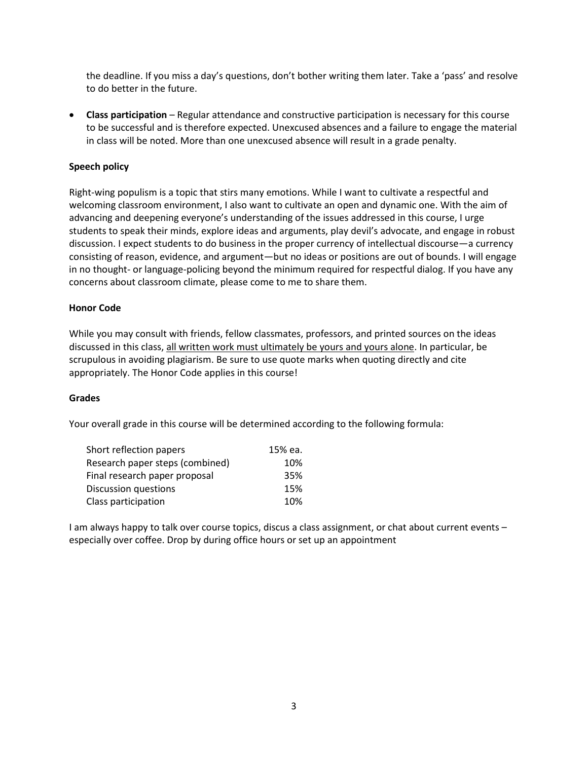the deadline. If you miss a day's questions, don't bother writing them later. Take a 'pass' and resolve to do better in the future.

• **Class participation** – Regular attendance and constructive participation is necessary for this course to be successful and is therefore expected. Unexcused absences and a failure to engage the material in class will be noted. More than one unexcused absence will result in a grade penalty.

## **Speech policy**

Right-wing populism is a topic that stirs many emotions. While I want to cultivate a respectful and welcoming classroom environment, I also want to cultivate an open and dynamic one. With the aim of advancing and deepening everyone's understanding of the issues addressed in this course, I urge students to speak their minds, explore ideas and arguments, play devil's advocate, and engage in robust discussion. I expect students to do business in the proper currency of intellectual discourse—a currency consisting of reason, evidence, and argument—but no ideas or positions are out of bounds. I will engage in no thought- or language-policing beyond the minimum required for respectful dialog. If you have any concerns about classroom climate, please come to me to share them.

## **Honor Code**

While you may consult with friends, fellow classmates, professors, and printed sources on the ideas discussed in this class, all written work must ultimately be yours and yours alone. In particular, be scrupulous in avoiding plagiarism. Be sure to use quote marks when quoting directly and cite appropriately. The Honor Code applies in this course!

### **Grades**

Your overall grade in this course will be determined according to the following formula:

| Short reflection papers         | 15% ea. |
|---------------------------------|---------|
| Research paper steps (combined) | 10%     |
| Final research paper proposal   | 35%     |
| Discussion questions            | 15%     |
| Class participation             | 10%     |

I am always happy to talk over course topics, discus a class assignment, or chat about current events – especially over coffee. Drop by during office hours or set up an appointment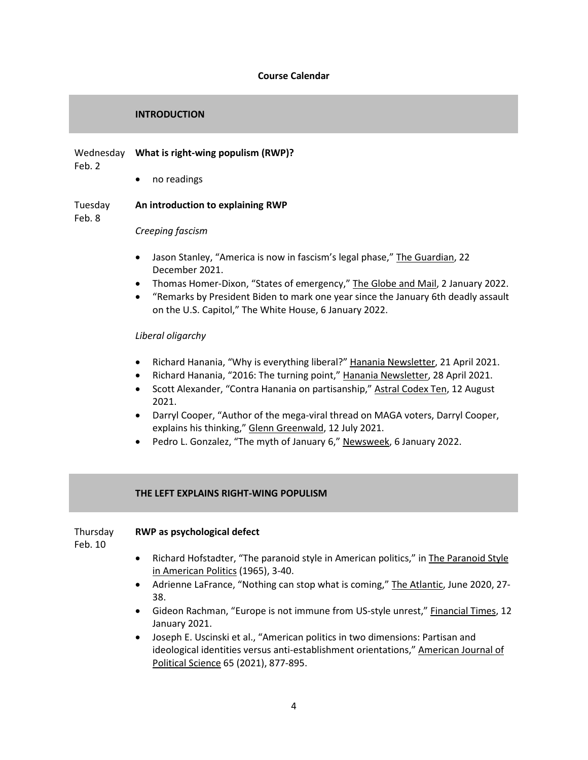### **Course Calendar**

### **INTRODUCTION**

# Wednesday **What is right-wing populism (RWP)?**

Feb. 2

• no readings

### Tuesday **An introduction to explaining RWP**

Feb. 8

*Creeping fascism*

- Jason Stanley, "America is now in fascism's legal phase," The Guardian, 22 December 2021.
- Thomas Homer-Dixon, "States of emergency," The Globe and Mail, 2 January 2022.
- "Remarks by President Biden to mark one year since the January 6th deadly assault on the U.S. Capitol," The White House, 6 January 2022.

## *Liberal oligarchy*

- Richard Hanania, "Why is everything liberal?" Hanania Newsletter, 21 April 2021.
- Richard Hanania, "2016: The turning point," Hanania Newsletter, 28 April 2021.
- Scott Alexander, "Contra Hanania on partisanship," Astral Codex Ten, 12 August 2021.
- Darryl Cooper, "Author of the mega-viral thread on MAGA voters, Darryl Cooper, explains his thinking," Glenn Greenwald, 12 July 2021.
- Pedro L. Gonzalez, "The myth of January 6," Newsweek, 6 January 2022.

## **THE LEFT EXPLAINS RIGHT-WING POPULISM**

### Thursday **RWP as psychological defect**

Feb. 10

- Richard Hofstadter, "The paranoid style in American politics," in The Paranoid Style in American Politics (1965), 3-40.
- Adrienne LaFrance, "Nothing can stop what is coming," The Atlantic, June 2020, 27-38.
- Gideon Rachman, "Europe is not immune from US-style unrest," Financial Times, 12 January 2021.
- Joseph E. Uscinski et al., "American politics in two dimensions: Partisan and ideological identities versus anti-establishment orientations," American Journal of Political Science 65 (2021), 877-895.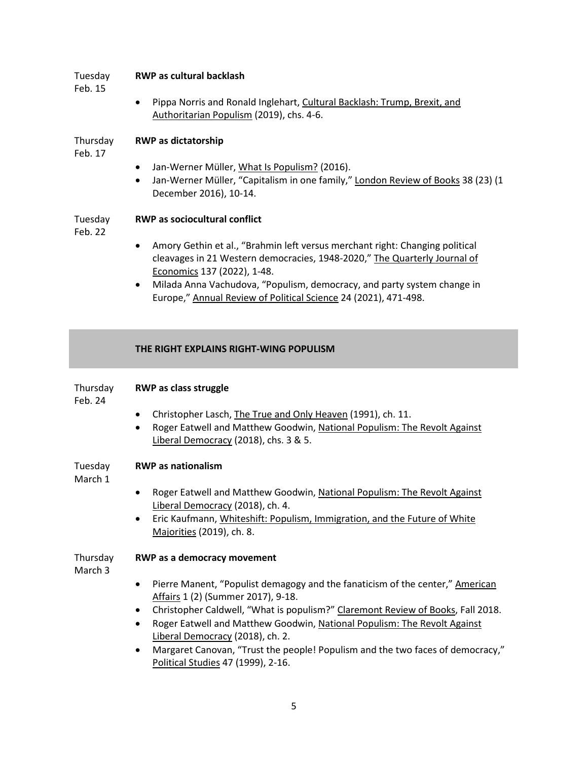### Tuesday **RWP as cultural backlash**

Feb. 15

• Pippa Norris and Ronald Inglehart, Cultural Backlash: Trump, Brexit, and Authoritarian Populism (2019), chs. 4-6.

### Thursday **RWP as dictatorship**

Feb. 17

- Jan-Werner Müller, What Is Populism? (2016).
- Jan-Werner Müller, "Capitalism in one family," London Review of Books 38 (23) (1 December 2016), 10-14.

### Tuesday **RWP as sociocultural conflict**

Feb. 22

- Amory Gethin et al., "Brahmin left versus merchant right: Changing political cleavages in 21 Western democracies, 1948-2020," The Quarterly Journal of Economics 137 (2022), 1-48.
- Milada Anna Vachudova, "Populism, democracy, and party system change in Europe," Annual Review of Political Science 24 (2021), 471-498.

## **THE RIGHT EXPLAINS RIGHT-WING POPULISM**

| Thursday<br>Feb. 24 | <b>RWP</b> as class struggle                                                                                                                                                                                              |  |
|---------------------|---------------------------------------------------------------------------------------------------------------------------------------------------------------------------------------------------------------------------|--|
|                     | Christopher Lasch, The True and Only Heaven (1991), ch. 11.<br>$\bullet$<br>Roger Eatwell and Matthew Goodwin, National Populism: The Revolt Against<br>Liberal Democracy (2018), chs. 3 & 5.                             |  |
| Tuesday<br>March 1  | <b>RWP</b> as nationalism                                                                                                                                                                                                 |  |
|                     | Roger Eatwell and Matthew Goodwin, National Populism: The Revolt Against<br>Liberal Democracy (2018), ch. 4.                                                                                                              |  |
|                     | Eric Kaufmann, Whiteshift: Populism, Immigration, and the Future of White<br>$\bullet$<br>Majorities (2019), ch. 8.                                                                                                       |  |
| Thursday<br>March 3 | <b>RWP</b> as a democracy movement                                                                                                                                                                                        |  |
|                     | Pierre Manent, "Populist demagogy and the fanaticism of the center," American<br>Affairs 1 (2) (Summer 2017), 9-18.                                                                                                       |  |
|                     | Christopher Caldwell, "What is populism?" Claremont Review of Books, Fall 2018.<br>$\bullet$<br>Roger Eatwell and Matthew Goodwin, National Populism: The Revolt Against<br>$\bullet$<br>Liberal Democracy (2018), ch. 2. |  |
|                     | Margaret Canovan, "Trust the people! Populism and the two faces of democracy,"<br>$\bullet$<br>Political Studies 47 (1999), 2-16.                                                                                         |  |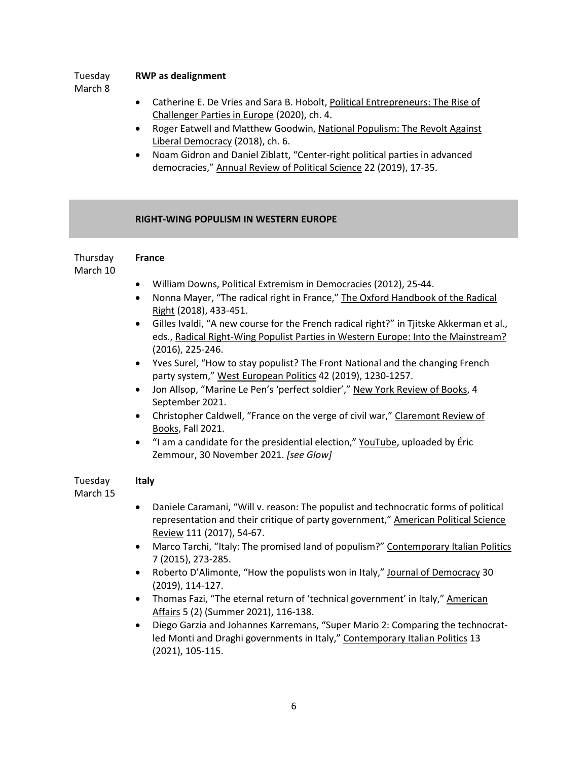### Tuesday **RWP as dealignment**

March 8

- Catherine E. De Vries and Sara B. Hobolt, Political Entrepreneurs: The Rise of Challenger Parties in Europe (2020), ch. 4.
- Roger Eatwell and Matthew Goodwin, National Populism: The Revolt Against Liberal Democracy (2018), ch. 6.
- Noam Gidron and Daniel Ziblatt, "Center-right political parties in advanced democracies," Annual Review of Political Science 22 (2019), 17-35.

## **RIGHT-WING POPULISM IN WESTERN EUROPE**

| Thursday | <b>France</b> |
|----------|---------------|
| March 10 |               |

- William Downs, Political Extremism in Democracies (2012), 25-44.
- Nonna Mayer, "The radical right in France," The Oxford Handbook of the Radical Right (2018), 433-451.
- Gilles Ivaldi, "A new course for the French radical right?" in Tjitske Akkerman et al., eds., Radical Right-Wing Populist Parties in Western Europe: Into the Mainstream? (2016), 225-246.
- Yves Surel, "How to stay populist? The Front National and the changing French party system," West European Politics 42 (2019), 1230-1257.
- Jon Allsop, "Marine Le Pen's 'perfect soldier'," New York Review of Books, 4 September 2021.
- Christopher Caldwell, "France on the verge of civil war," Claremont Review of Books, Fall 2021.
- "I am a candidate for the presidential election," YouTube, uploaded by Éric Zemmour, 30 November 2021. *[see Glow]*

### Tuesday **Italy**

March 15

- Daniele Caramani, "Will v. reason: The populist and technocratic forms of political representation and their critique of party government," American Political Science Review 111 (2017), 54-67.
- Marco Tarchi, "Italy: The promised land of populism?" Contemporary Italian Politics 7 (2015), 273-285.
- Roberto D'Alimonte, "How the populists won in Italy," Journal of Democracy 30 (2019), 114-127.
- Thomas Fazi, "The eternal return of 'technical government' in Italy," American Affairs 5 (2) (Summer 2021), 116-138.
- Diego Garzia and Johannes Karremans, "Super Mario 2: Comparing the technocratled Monti and Draghi governments in Italy," Contemporary Italian Politics 13 (2021), 105-115.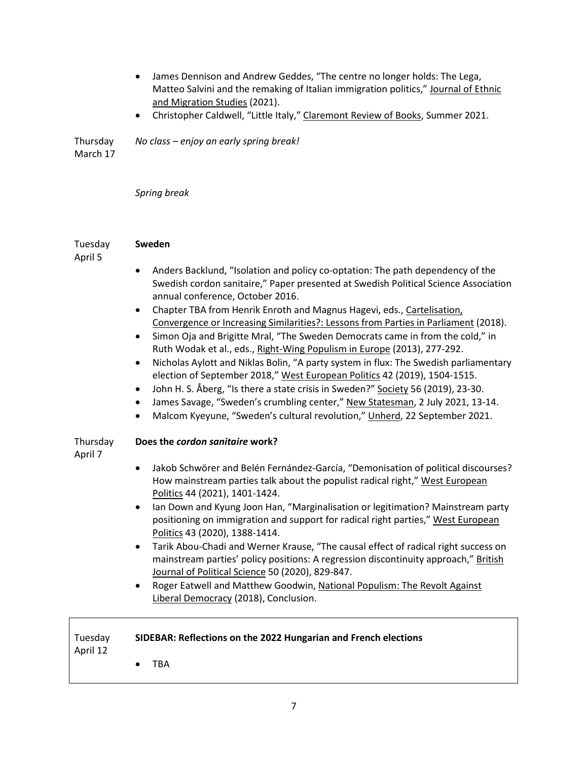- James Dennison and Andrew Geddes, "The centre no longer holds: The Lega, Matteo Salvini and the remaking of Italian immigration politics," Journal of Ethnic and Migration Studies (2021). • Christopher Caldwell, "Little Italy," Claremont Review of Books, Summer 2021. Thursday March 17 *No class – enjoy an early spring break! Spring break* Tuesday April 5 **Sweden** • Anders Backlund, "Isolation and policy co-optation: The path dependency of the Swedish cordon sanitaire," Paper presented at Swedish Political Science Association annual conference, October 2016. • Chapter TBA from Henrik Enroth and Magnus Hagevi, eds., Cartelisation, Convergence or Increasing Similarities?: Lessons from Parties in Parliament (2018). • Simon Oja and Brigitte Mral, "The Sweden Democrats came in from the cold," in Ruth Wodak et al., eds., Right-Wing Populism in Europe (2013), 277-292. • Nicholas Aylott and Niklas Bolin, "A party system in flux: The Swedish parliamentary election of September 2018," West European Politics 42 (2019), 1504-1515. • John H. S. Åberg, "Is there a state crisis in Sweden?" Society 56 (2019), 23-30. • James Savage, "Sweden's crumbling center," New Statesman, 2 July 2021, 13-14. • Malcom Kyeyune, "Sweden's cultural revolution," Unherd, 22 September 2021. Thursday April 7 **Does the** *cordon sanitaire* **work?** • Jakob Schwörer and Belén Fernández-García, "Demonisation of political discourses? How mainstream parties talk about the populist radical right," West European Politics 44 (2021), 1401-1424. • Ian Down and Kyung Joon Han, "Marginalisation or legitimation? Mainstream party positioning on immigration and support for radical right parties," West European Politics 43 (2020), 1388-1414. • Tarik Abou-Chadi and Werner Krause, "The causal effect of radical right success on mainstream parties' policy positions: A regression discontinuity approach," British Journal of Political Science 50 (2020), 829-847. • Roger Eatwell and Matthew Goodwin, National Populism: The Revolt Against Liberal Democracy (2018), Conclusion. Tuesday April 12 **SIDEBAR: Reflections on the 2022 Hungarian and French elections**
	- TBA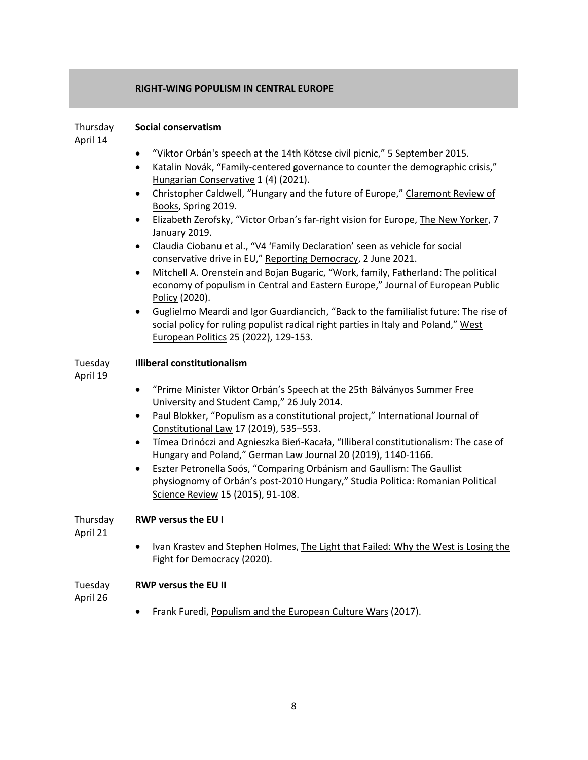### **RIGHT-WING POPULISM IN CENTRAL EUROPE**

#### Thursday **Social conservatism**

April 14

- "Viktor Orbán's speech at the 14th Kötcse civil picnic," 5 September 2015.
- Katalin Novák, "Family-centered governance to counter the demographic crisis," Hungarian Conservative 1 (4) (2021).
- Christopher Caldwell, "Hungary and the future of Europe," Claremont Review of Books, Spring 2019.
- Elizabeth Zerofsky, "Victor Orban's far-right vision for Europe, The New Yorker, 7 January 2019.
- Claudia Ciobanu et al., "V4 'Family Declaration' seen as vehicle for social conservative drive in EU," Reporting Democracy, 2 June 2021.
- Mitchell A. Orenstein and Bojan Bugaric, "Work, family, Fatherland: The political economy of populism in Central and Eastern Europe," Journal of European Public Policy (2020).
- Guglielmo Meardi and Igor Guardiancich, "Back to the familialist future: The rise of social policy for ruling populist radical right parties in Italy and Poland," West European Politics 25 (2022), 129-153.

### Tuesday **Illiberal constitutionalism**

April 19

- "Prime Minister Viktor Orbán's Speech at the 25th Bálványos Summer Free University and Student Camp," 26 July 2014.
- Paul Blokker, "Populism as a constitutional project," International Journal of Constitutional Law 17 (2019), 535–553.
- Tímea Drinóczi and Agnieszka Bień-Kacała, "Illiberal constitutionalism: The case of Hungary and Poland," German Law Journal 20 (2019), 1140-1166.
- Eszter Petronella Soós, "Comparing Orbánism and Gaullism: The Gaullist physiognomy of Orbán's post-2010 Hungary," Studia Politica: Romanian Political Science Review 15 (2015), 91-108.

### Thursday **RWP versus the EU I**

April 21

• Ivan Krastev and Stephen Holmes, The Light that Failed: Why the West is Losing the Fight for Democracy (2020).

### Tuesday **RWP versus the EU II**

April 26

• Frank Furedi, Populism and the European Culture Wars (2017).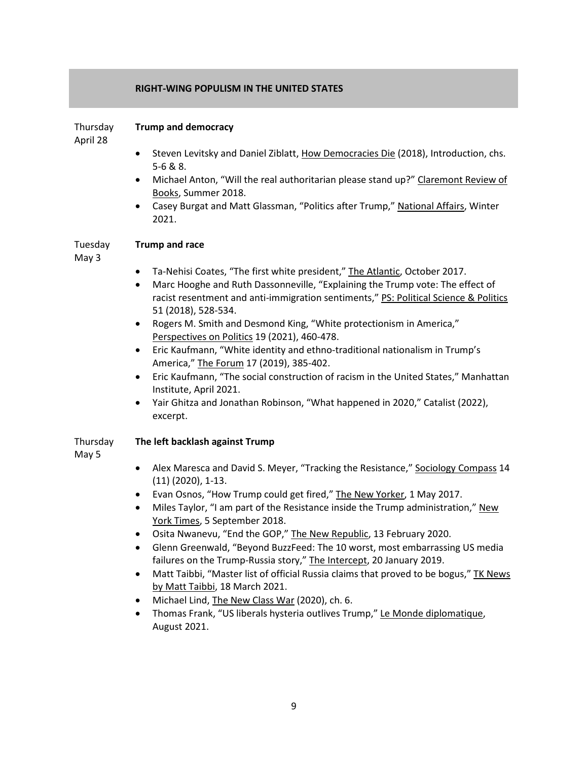### **RIGHT-WING POPULISM IN THE UNITED STATES**

#### Thursday **Trump and democracy**

April 28

- Steven Levitsky and Daniel Ziblatt, How Democracies Die (2018), Introduction, chs. 5-6 & 8.
- Michael Anton, "Will the real authoritarian please stand up?" Claremont Review of Books, Summer 2018.
- Casey Burgat and Matt Glassman, "Politics after Trump," National Affairs, Winter 2021.

#### Tuesday **Trump and race**

May 3

- Ta-Nehisi Coates, "The first white president," The Atlantic, October 2017.
- Marc Hooghe and Ruth Dassonneville, "Explaining the Trump vote: The effect of racist resentment and anti-immigration sentiments," PS: Political Science & Politics 51 (2018), 528-534.
- Rogers M. Smith and Desmond King, "White protectionism in America," Perspectives on Politics 19 (2021), 460-478.
- Eric Kaufmann, "White identity and ethno-traditional nationalism in Trump's America," The Forum 17 (2019), 385-402.
- Eric Kaufmann, "The social construction of racism in the United States," Manhattan Institute, April 2021.
- Yair Ghitza and Jonathan Robinson, "What happened in 2020," Catalist (2022), excerpt.

### Thursday **The left backlash against Trump**

May 5

- Alex Maresca and David S. Meyer, "Tracking the Resistance," Sociology Compass 14 (11) (2020), 1-13.
- Evan Osnos, "How Trump could get fired," The New Yorker, 1 May 2017.
- Miles Taylor, "I am part of the Resistance inside the Trump administration," New York Times, 5 September 2018.
- Osita Nwanevu, "End the GOP," The New Republic, 13 February 2020.
- Glenn Greenwald, "Beyond BuzzFeed: The 10 worst, most embarrassing US media failures on the Trump-Russia story," The Intercept, 20 January 2019.
- Matt Taibbi, "Master list of official Russia claims that proved to be bogus," TK News by Matt Taibbi, 18 March 2021.
- Michael Lind, The New Class War (2020), ch. 6.
- Thomas Frank, "US liberals hysteria outlives Trump," Le Monde diplomatique, August 2021.